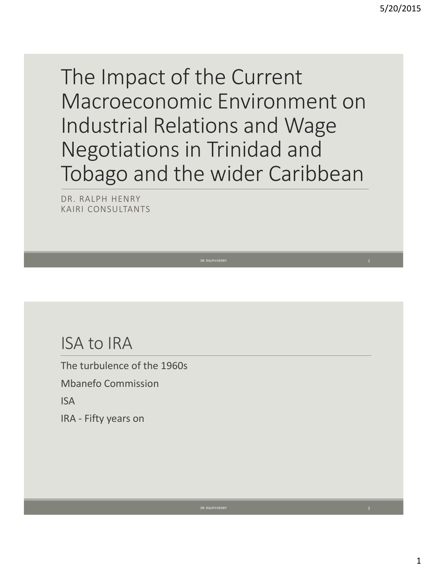The Impact of the Current Macroeconomic Environment on Industrial Relations and Wage Negotiations in Trinidad and Tobago and the wider Caribbean

DR. RALPH HENRY KAIRI CONSULTANTS

# ISA to IRA

The turbulence of the 1960s

Mbanefo Commission

ISA

IRA - Fifty years on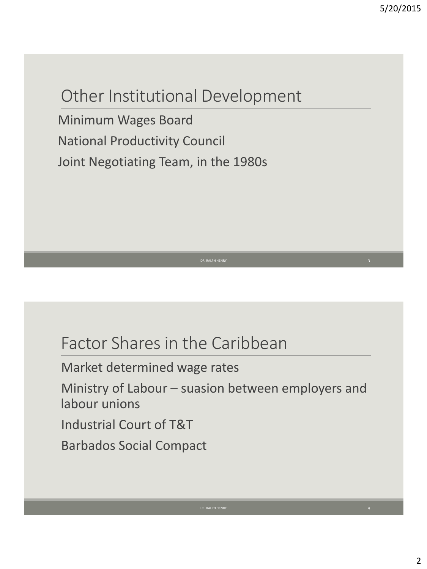# Other Institutional Development

Minimum Wages Board National Productivity Council Joint Negotiating Team, in the 1980s

### Factor Shares in the Caribbean

Market determined wage rates

Ministry of Labour – suasion between employers and labour unions

Industrial Court of T&T

Barbados Social Compact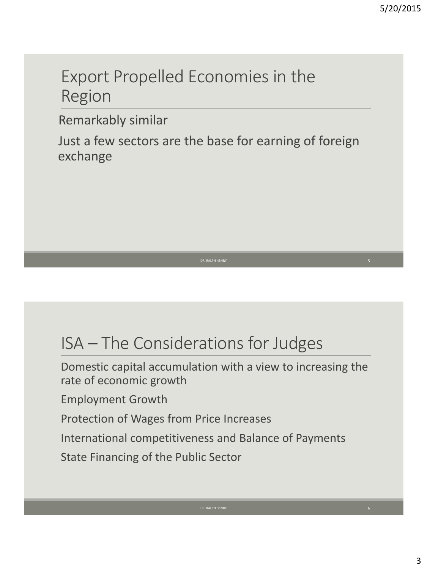# Export Propelled Economies in the Region

Remarkably similar

Just a few sectors are the base for earning of foreign exchange

# ISA – The Considerations for Judges

Domestic capital accumulation with a view to increasing the rate of economic growth Employment Growth Protection of Wages from Price Increases International competitiveness and Balance of Payments State Financing of the Public Sector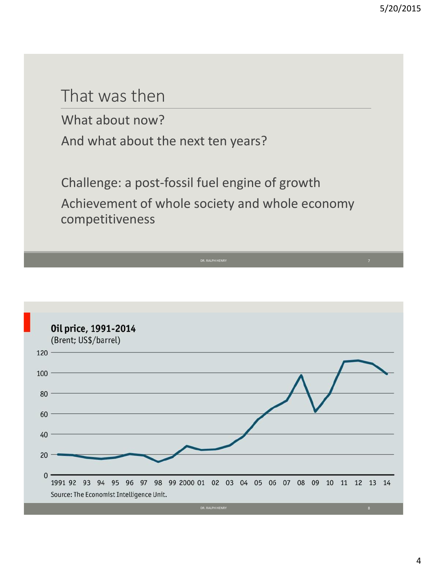### That was then

What about now? And what about the next ten years?

Challenge: a post-fossil fuel engine of growth Achievement of whole society and whole economy competitiveness

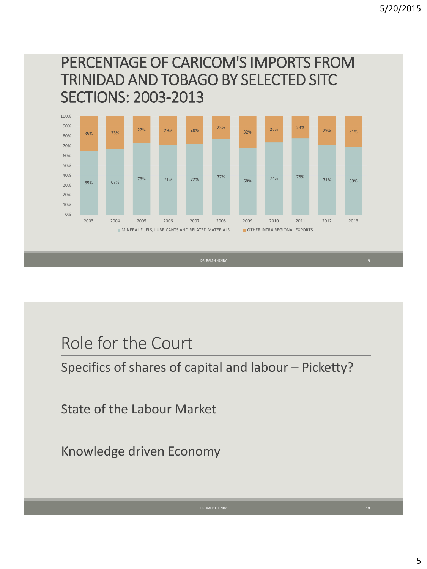### PERCENTAGE OF CARICOM'S IMPORTS FROM TRINIDAD AND TOBAGO BY SELECTED SITC SECTIONS: 2003-2013



# Role for the Court

Specifics of shares of capital and labour – Picketty?

State of the Labour Market

Knowledge driven Economy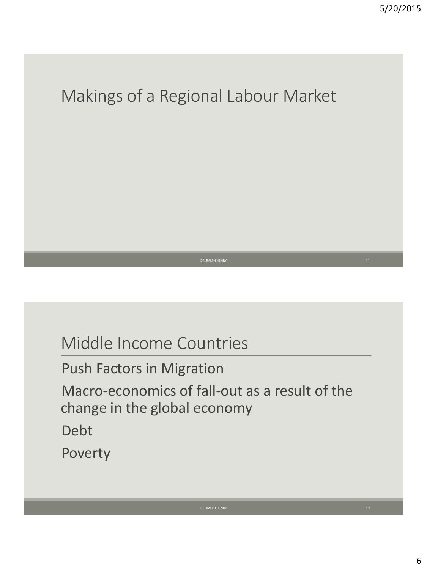# Makings of a Regional Labour Market

# Middle Income Countries

Push Factors in Migration

Macro-economics of fall-out as a result of the change in the global economy

Debt

Poverty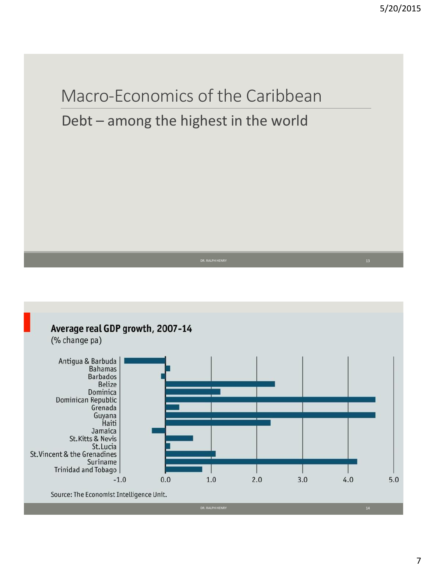

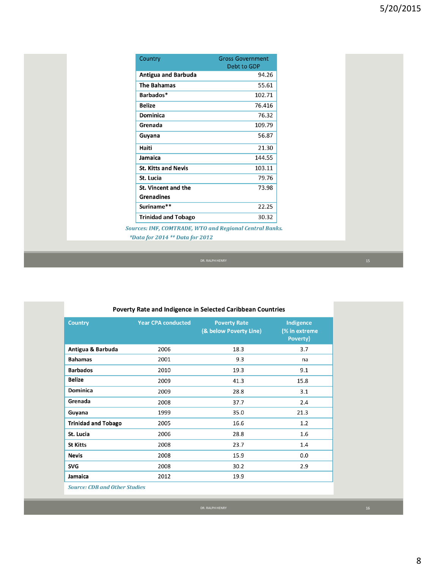| Country                                                        | <b>Gross Government</b><br>Debt to GDP |  |  |
|----------------------------------------------------------------|----------------------------------------|--|--|
| Antigua and Barbuda                                            | 94.26                                  |  |  |
| <b>The Bahamas</b>                                             | 55.61                                  |  |  |
| Barbados*                                                      | 102.71                                 |  |  |
| <b>Belize</b>                                                  | 76.416                                 |  |  |
| Dominica                                                       | 76.32                                  |  |  |
| Grenada                                                        | 109.79                                 |  |  |
| Guyana                                                         | 56.87                                  |  |  |
| Haiti                                                          | 21.30                                  |  |  |
| Jamaica                                                        | 144.55                                 |  |  |
| <b>St. Kitts and Nevis</b>                                     | 103.11                                 |  |  |
| St. Lucia                                                      | 79.76                                  |  |  |
| St. Vincent and the                                            | 73.98                                  |  |  |
| <b>Grenadines</b>                                              |                                        |  |  |
| Suriname**                                                     | 22.25                                  |  |  |
| <b>Trinidad and Tobago</b>                                     | 30.32                                  |  |  |
| <b>Sources: IMF, COMTRADE, WTO and Regional Central Banks.</b> |                                        |  |  |

\*Data for 2014 \*\* Data for 2012

| <b>Country</b>                       | <b>Year CPA conducted</b> | <b>Poverty Rate</b><br>(& below Poverty Line) | Indigence<br>(% in extreme<br>Poverty) |
|--------------------------------------|---------------------------|-----------------------------------------------|----------------------------------------|
| Antigua & Barbuda                    | 2006                      | 18.3                                          | 3.7                                    |
| <b>Bahamas</b>                       | 2001                      | 9.3                                           | na                                     |
| <b>Barbados</b>                      | 2010                      | 19.3                                          | 9.1                                    |
| Belize                               | 2009                      | 41.3                                          | 15.8                                   |
| <b>Dominica</b>                      | 2009                      | 28.8                                          | 3.1                                    |
| Grenada                              | 2008                      | 37.7                                          | 2.4                                    |
| Guyana                               | 1999                      | 35.0                                          | 21.3                                   |
| <b>Trinidad and Tobago</b>           | 2005                      | 16.6                                          | 1.2                                    |
| St. Lucia                            | 2006                      | 28.8                                          | 1.6                                    |
| <b>St Kitts</b>                      | 2008                      | 23.7                                          | 1.4                                    |
| <b>Nevis</b>                         | 2008                      | 15.9                                          | 0.0                                    |
| SVG                                  | 2008                      | 30.2                                          | 2.9                                    |
| Jamaica                              | 2012                      | 19.9                                          |                                        |
| <b>Source: CDB and Other Studies</b> |                           |                                               |                                        |

### Poverty Rate and Indigence in Selected Caribbean Countries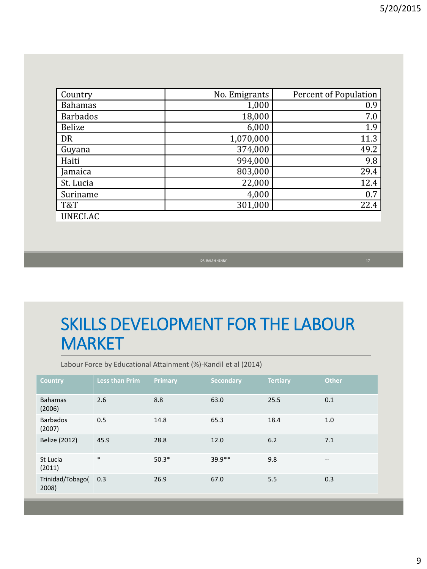| Country         | No. Emigrants | <b>Percent of Population</b> |
|-----------------|---------------|------------------------------|
| <b>Bahamas</b>  | 1,000         | 0.9                          |
| <b>Barbados</b> | 18,000        | 7.0                          |
| <b>Belize</b>   | 6,000         | 1.9                          |
| DR              | 1,070,000     | 11.3                         |
| Guyana          | 374,000       | 49.2                         |
| Haiti           | 994,000       | 9.8                          |
| Jamaica         | 803,000       | 29.4                         |
| St. Lucia       | 22,000        | 12.4                         |
| Suriname        | 4,000         | 0.7                          |
| T&T             | 301,000       | 22.4                         |
| <b>UNECLAC</b>  |               |                              |

# SKILLS DEVELOPMENT FOR THE LABOUR **MARKET**

Labour Force by Educational Attainment (%)-Kandil et al (2014)

| <b>Country</b>            | <b>Less than Prim</b> | <b>Primary</b> | <b>Secondary</b> | <b>Tertiary</b> | <b>Other</b> |
|---------------------------|-----------------------|----------------|------------------|-----------------|--------------|
| <b>Bahamas</b><br>(2006)  | 2.6                   | 8.8            | 63.0             | 25.5            | 0.1          |
| <b>Barbados</b><br>(2007) | 0.5                   | 14.8           | 65.3             | 18.4            | 1.0          |
| Belize (2012)             | 45.9                  | 28.8           | 12.0             | 6.2             | 7.1          |
| St Lucia<br>(2011)        | $\ast$                | $50.3*$        | $39.9**$         | 9.8             | $- -$        |
| Trinidad/Tobago(<br>2008) | 0.3                   | 26.9           | 67.0             | 5.5             | 0.3          |